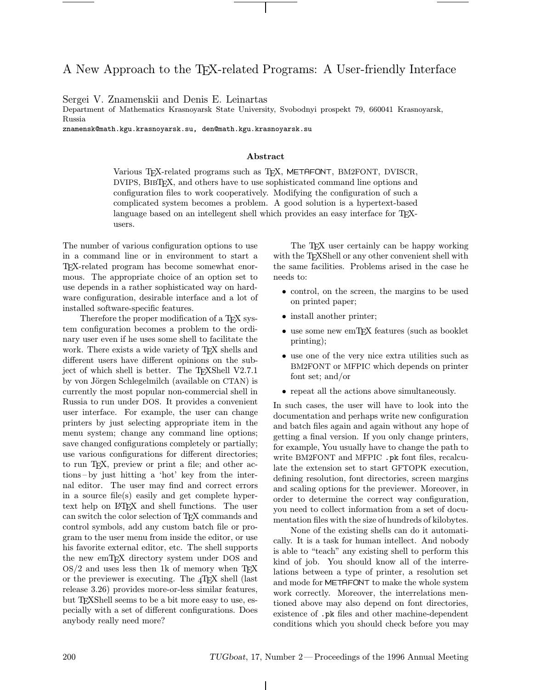## A New Approach to the TEX-related Programs: A User-friendly Interface

Sergei V. Znamenskii and Denis E. Leinartas

Department of Mathematics Krasnoyarsk State University, Svobodnyi prospekt 79, 660041 Krasnoyarsk, Russia

znamensk@math.kgu.krasnoyarsk.su, den@math.kgu.krasnoyarsk.su

## Abstract

Various TEX-related programs such as TEX, METAFONT, BM2FONT, DVISCR, DVIPS, BibTEX, and others have to use sophisticated command line options and configuration files to work cooperatively. Modifying the configuration of such a complicated system becomes a problem. A good solution is a hypertext-based language based on an intellegent shell which provides an easy interface for T<sub>E</sub>Xusers.

The number of various configuration options to use in a command line or in environment to start a TEX-related program has become somewhat enormous. The appropriate choice of an option set to use depends in a rather sophisticated way on hardware configuration, desirable interface and a lot of installed software-specific features.

Therefore the proper modification of a T<sub>EX</sub> system configuration becomes a problem to the ordinary user even if he uses some shell to facilitate the work. There exists a wide variety of TEX shells and different users have different opinions on the subject of which shell is better. The T<sub>E</sub>XShell V2.7.1 by von Jörgen Schlegelmilch (available on CTAN) is currently the most popular non-commercial shell in Russia to run under DOS. It provides a convenient user interface. For example, the user can change printers by just selecting appropriate item in the menu system; change any command line options; save changed configurations completely or partially; use various configurations for different directories; to run TEX, preview or print a file; and other actions –by just hitting a 'hot' key from the internal editor. The user may find and correct errors in a source file(s) easily and get complete hypertext help on LATEX and shell functions. The user can switch the color selection of TEX commands and control symbols, add any custom batch file or program to the user menu from inside the editor, or use his favorite external editor, etc. The shell supports the new emT<sub>F</sub>X directory system under DOS and  $OS/2$  and uses less then 1k of memory when TEX or the previewer is executing. The  $_4$ T<sub>E</sub>X shell (last release 3.26) provides more-or-less similar features, but TEXShell seems to be a bit more easy to use, especially with a set of different configurations. Does anybody really need more?

The T<sub>EX</sub> user certainly can be happy working with the TEXShell or any other convenient shell with the same facilities. Problems arised in the case he needs to:

- control, on the screen, the margins to be used on printed paper;
- install another printer;
- use some new emTFX features (such as booklet printing);
- use one of the very nice extra utilities such as BM2FONT or MFPIC which depends on printer font set; and/or
- repeat all the actions above simultaneously.

In such cases, the user will have to look into the documentation and perhaps write new configuration and batch files again and again without any hope of getting a final version. If you only change printers, for example, You usually have to change the path to write BM2FONT and MFPIC .pk font files, recalculate the extension set to start GFTOPK execution, defining resolution, font directories, screen margins and scaling options for the previewer. Moreover, in order to determine the correct way configuration, you need to collect information from a set of documentation files with the size of hundreds of kilobytes.

None of the existing shells can do it automatically. It is a task for human intellect. And nobody is able to "teach" any existing shell to perform this kind of job. You should know all of the interrelations between a type of printer, a resolution set and mode for METAFONT to make the whole system work correctly. Moreover, the interrelations mentioned above may also depend on font directories, existence of .pk files and other machine-dependent conditions which you should check before you may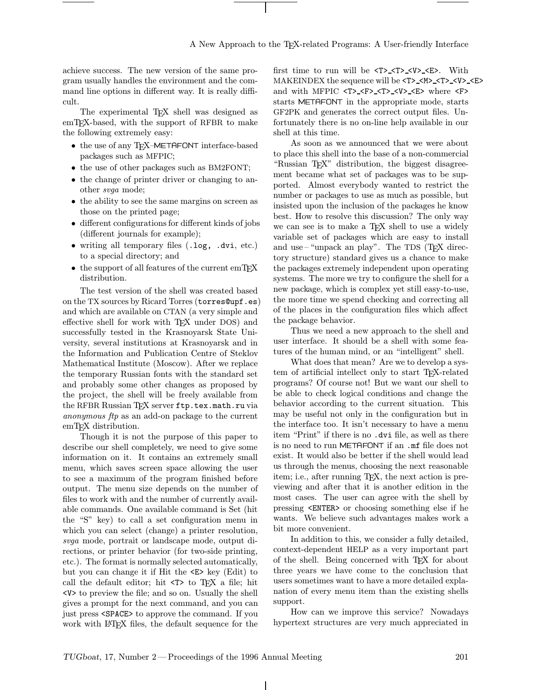achieve success. The new version of the same program usually handles the environment and the command line options in different way. It is really difficult.

The experimental T<sub>FX</sub> shell was designed as emTEX-based, with the support of RFBR to make the following extremely easy:

- the use of any T<sub>E</sub>X-METAFONT interface-based packages such as MFPIC;
- the use of other packages such as BM2FONT;
- the change of printer driver or changing to another svga mode;
- the ability to see the same margins on screen as those on the printed page;
- different configurations for different kinds of jobs (different journals for example);
- writing all temporary files (.log, .dvi, etc.) to a special directory; and
- the support of all features of the current emTFX distribution.

The test version of the shell was created based on the TX sources by Ricard Torres (torres@upf.es) and which are available on CTAN (a very simple and effective shell for work with T<sub>EX</sub> under DOS) and successfully tested in the Krasnoyarsk State University, several institutions at Krasnoyarsk and in the Information and Publication Centre of Steklov Mathematical Institute (Moscow). After we replace the temporary Russian fonts with the standard set and probably some other changes as proposed by the project, the shell will be freely available from the RFBR Russian TEX server ftp.tex.math.ru via anonymous ftp as an add-on package to the current emTEX distribution.

Though it is not the purpose of this paper to describe our shell completely, we need to give some information on it. It contains an extremely small menu, which saves screen space allowing the user to see a maximum of the program finished before output. The menu size depends on the number of files to work with and the number of currently available commands. One available command is Set (hit the "S" key) to call a set configuration menu in which you can select (change) a printer resolution, svga mode, portrait or landscape mode, output directions, or printer behavior (for two-side printing, etc.). The format is normally selected automatically, but you can change it if Hit the <E> key (Edit) to call the default editor; hit <T> to TEX a file; hit <V> to preview the file; and so on. Usually the shell gives a prompt for the next command, and you can just press <SPACE> to approve the command. If you work with L<sup>AT</sup>FX files, the default sequence for the first time to run will be <T> <T> <V> <E>. With MAKEINDEX the sequence will be <T>\_<M>\_<V>\_<V>\_<E> and with MFPIC <T>\_<F>\_<T>\_<V>\_<E> where <F> starts METAFONT in the appropriate mode, starts GF2PK and generates the correct output files. Unfortunately there is no on-line help available in our shell at this time.

As soon as we announced that we were about to place this shell into the base of a non-commercial "Russian TEX" distribution, the biggest disagreement became what set of packages was to be supported. Almost everybody wanted to restrict the number or packages to use as much as possible, but insisted upon the inclusion of the packages he know best. How to resolve this discussion? The only way we can see is to make a T<sub>EX</sub> shell to use a widely variable set of packages which are easy to install and use– "unpack an play". The TDS (T<sub>E</sub>X directory structure) standard gives us a chance to make the packages extremely independent upon operating systems. The more we try to configure the shell for a new package, which is complex yet still easy-to-use, the more time we spend checking and correcting all of the places in the configuration files which affect the package behavior.

Thus we need a new approach to the shell and user interface. It should be a shell with some features of the human mind, or an "intelligent" shell.

What does that mean? Are we to develop a system of artificial intellect only to start TEX-related programs? Of course not! But we want our shell to be able to check logical conditions and change the behavior according to the current situation. This may be useful not only in the configuration but in the interface too. It isn't necessary to have a menu item "Print" if there is no .dvi file, as well as there is no need to run METAFONT if an .mf file does not exist. It would also be better if the shell would lead us through the menus, choosing the next reasonable item; i.e., after running TEX, the next action is previewing and after that it is another edition in the most cases. The user can agree with the shell by pressing <ENTER> or choosing something else if he wants. We believe such advantages makes work a bit more convenient.

In addition to this, we consider a fully detailed, context-dependent HELP as a very important part of the shell. Being concerned with TEX for about three years we have come to the conclusion that users sometimes want to have a more detailed explanation of every menu item than the existing shells support.

How can we improve this service? Nowadays hypertext structures are very much appreciated in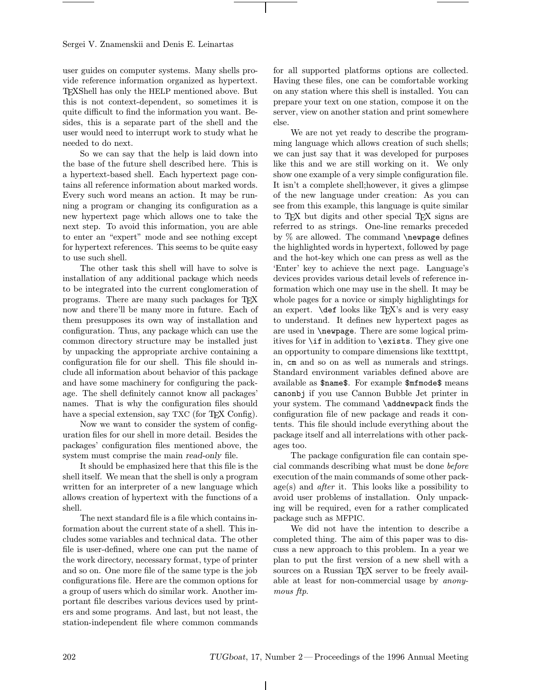user guides on computer systems. Many shells provide reference information organized as hypertext. TEXShell has only the HELP mentioned above. But this is not context-dependent, so sometimes it is quite difficult to find the information you want. Besides, this is a separate part of the shell and the user would need to interrupt work to study what he needed to do next.

So we can say that the help is laid down into the base of the future shell described here. This is a hypertext-based shell. Each hypertext page contains all reference information about marked words. Every such word means an action. It may be running a program or changing its configuration as a new hypertext page which allows one to take the next step. To avoid this information, you are able to enter an "expert" mode and see nothing except for hypertext references. This seems to be quite easy to use such shell.

The other task this shell will have to solve is installation of any additional package which needs to be integrated into the current conglomeration of programs. There are many such packages for TEX now and there'll be many more in future. Each of them presupposes its own way of installation and configuration. Thus, any package which can use the common directory structure may be installed just by unpacking the appropriate archive containing a configuration file for our shell. This file should include all information about behavior of this package and have some machinery for configuring the package. The shell definitely cannot know all packages' names. That is why the configuration files should have a special extension, say TXC (for T<sub>EX</sub> Config).

Now we want to consider the system of configuration files for our shell in more detail. Besides the packages' configuration files mentioned above, the system must comprise the main read-only file.

It should be emphasized here that this file is the shell itself. We mean that the shell is only a program written for an interpreter of a new language which allows creation of hypertext with the functions of a shell.

The next standard file is a file which contains information about the current state of a shell. This includes some variables and technical data. The other file is user-defined, where one can put the name of the work directory, necessary format, type of printer and so on. One more file of the same type is the job configurations file. Here are the common options for a group of users which do similar work. Another important file describes various devices used by printers and some programs. And last, but not least, the station-independent file where common commands

for all supported platforms options are collected. Having these files, one can be comfortable working on any station where this shell is installed. You can prepare your text on one station, compose it on the server, view on another station and print somewhere else.

We are not yet ready to describe the programming language which allows creation of such shells; we can just say that it was developed for purposes like this and we are still working on it. We only show one example of a very simple configuration file. It isn't a complete shell;however, it gives a glimpse of the new language under creation: As you can see from this example, this language is quite similar to T<sub>EX</sub> but digits and other special T<sub>EX</sub> signs are referred to as strings. One-line remarks preceded by % are allowed. The command \newpage defines the highlighted words in hypertext, followed by page and the hot-key which one can press as well as the 'Enter' key to achieve the next page. Language's devices provides various detail levels of reference information which one may use in the shell. It may be whole pages for a novice or simply highlightings for an expert.  $\det$  looks like T<sub>EX</sub>'s and is very easy to understand. It defines new hypertext pages as are used in \newpage. There are some logical primitives for \if in addition to \exists. They give one an opportunity to compare dimensions like textttpt, in, cm and so on as well as numerals and strings. Standard environment variables defined above are available as \$name\$. For example \$mfmode\$ means canonbj if you use Cannon Bubble Jet printer in your system. The command \addnewpack finds the configuration file of new package and reads it contents. This file should include everything about the package itself and all interrelations with other packages too.

The package configuration file can contain special commands describing what must be done before execution of the main commands of some other package(s) and *after* it. This looks like a possibility to avoid user problems of installation. Only unpacking will be required, even for a rather complicated package such as MFPIC.

We did not have the intention to describe a completed thing. The aim of this paper was to discuss a new approach to this problem. In a year we plan to put the first version of a new shell with a sources on a Russian TEX server to be freely available at least for non-commercial usage by anonymous ftp.